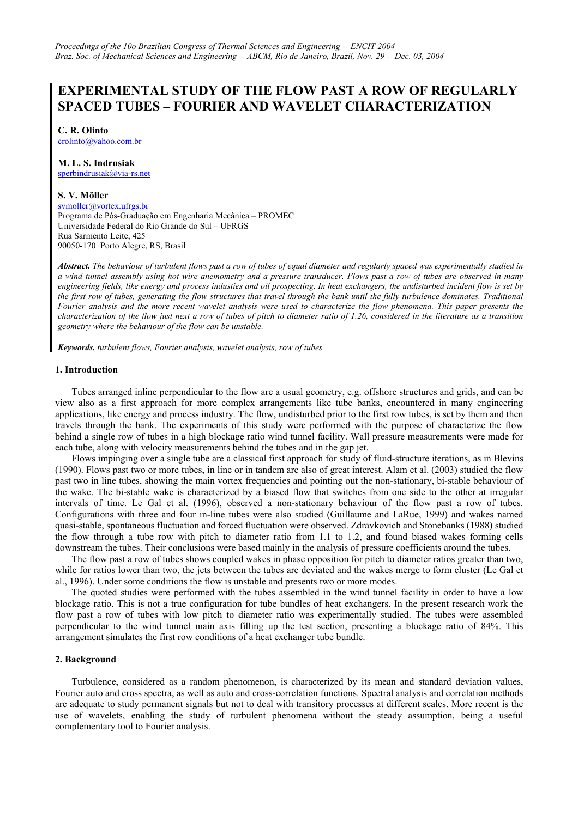# **EXPERIMENTAL STUDY OF THE FLOW PAST A ROW OF REGULARLY SPACED TUBES – FOURIER AND WAVELET CHARACTERIZATION**

**C. R. Olinto** 

[crolinto@yahoo.com.br](mailto:crolinto@yahoo.com.br)

# **M. L. S. Indrusiak**

[sperbindrusiak@via-rs.net](mailto:sperbindrusiak@via-rs.net)

# **S. V. Möller**

[svmoller@vortex.ufrgs.br](mailto:svmoller@vortex.ufrgs.br)

Programa de Pós-Graduação em Engenharia Mecânica – PROMEC Universidade Federal do Rio Grande do Sul – UFRGS Rua Sarmento Leite, 425 90050-170 Porto Alegre, RS, Brasil

*Abstract. The behaviour of turbulent flows past a row of tubes of equal diameter and regularly spaced was experimentally studied in a wind tunnel assembly using hot wire anemometry and a pressure transducer. Flows past a row of tubes are observed in many engineering fields, like energy and process industies and oil prospecting. In heat exchangers, the undisturbed incident flow is set by the first row of tubes, generating the flow structures that travel through the bank until the fully turbulence dominates. Traditional Fourier analysis and the more recent wavelet analysis were used to characterize the flow phenomena. This paper presents the characterization of the flow just next a row of tubes of pitch to diameter ratio of 1.26, considered in the literature as a transition geometry where the behaviour of the flow can be unstable.* 

*Keywords. turbulent flows, Fourier analysis, wavelet analysis, row of tubes.*

# **1. Introduction**

Tubes arranged inline perpendicular to the flow are a usual geometry, e.g. offshore structures and grids, and can be view also as a first approach for more complex arrangements like tube banks, encountered in many engineering applications, like energy and process industry. The flow, undisturbed prior to the first row tubes, is set by them and then travels through the bank. The experiments of this study were performed with the purpose of characterize the flow behind a single row of tubes in a high blockage ratio wind tunnel facility. Wall pressure measurements were made for each tube, along with velocity measurements behind the tubes and in the gap jet.

Flows impinging over a single tube are a classical first approach for study of fluid-structure iterations, as in Blevins (1990). Flows past two or more tubes, in line or in tandem are also of great interest. Alam et al. (2003) studied the flow past two in line tubes, showing the main vortex frequencies and pointing out the non-stationary, bi-stable behaviour of the wake. The bi-stable wake is characterized by a biased flow that switches from one side to the other at irregular intervals of time. Le Gal et al. (1996), observed a non-stationary behaviour of the flow past a row of tubes. Configurations with three and four in-line tubes were also studied (Guillaume and LaRue, 1999) and wakes named quasi-stable, spontaneous fluctuation and forced fluctuation were observed. Zdravkovich and Stonebanks (1988) studied the flow through a tube row with pitch to diameter ratio from 1.1 to 1.2, and found biased wakes forming cells downstream the tubes. Their conclusions were based mainly in the analysis of pressure coefficients around the tubes.

The flow past a row of tubes shows coupled wakes in phase opposition for pitch to diameter ratios greater than two, while for ratios lower than two, the jets between the tubes are deviated and the wakes merge to form cluster (Le Gal et al., 1996). Under some conditions the flow is unstable and presents two or more modes.

The quoted studies were performed with the tubes assembled in the wind tunnel facility in order to have a low blockage ratio. This is not a true configuration for tube bundles of heat exchangers. In the present research work the flow past a row of tubes with low pitch to diameter ratio was experimentally studied. The tubes were assembled perpendicular to the wind tunnel main axis filling up the test section, presenting a blockage ratio of 84%. This arrangement simulates the first row conditions of a heat exchanger tube bundle.

# **2. Background**

Turbulence, considered as a random phenomenon, is characterized by its mean and standard deviation values, Fourier auto and cross spectra, as well as auto and cross-correlation functions. Spectral analysis and correlation methods are adequate to study permanent signals but not to deal with transitory processes at different scales. More recent is the use of wavelets, enabling the study of turbulent phenomena without the steady assumption, being a useful complementary tool to Fourier analysis.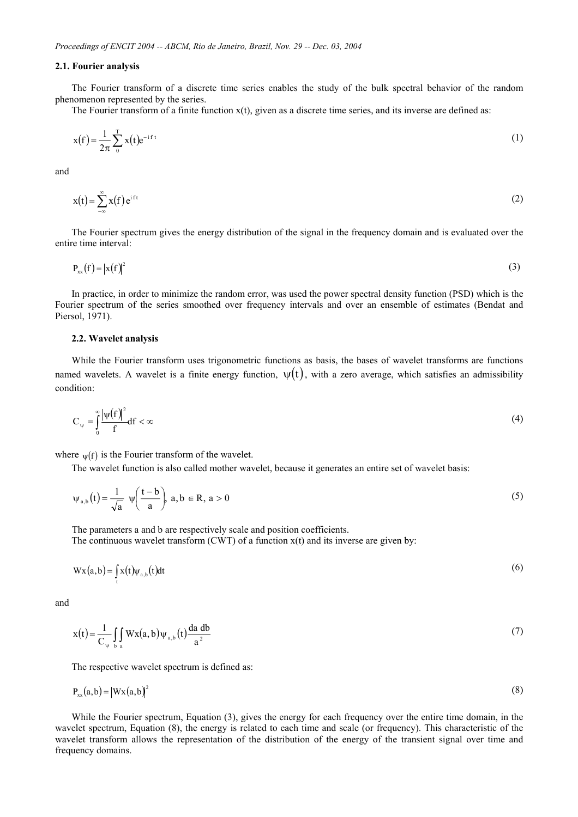#### **2.1. Fourier analysis**

The Fourier transform of a discrete time series enables the study of the bulk spectral behavior of the random phenomenon represented by the series.

The Fourier transform of a finite function  $x(t)$ , given as a discrete time series, and its inverse are defined as:

$$
x(f) = \frac{1}{2\pi} \sum_{0}^{T} x(t) e^{-i f t}
$$
 (1)

and

$$
x(t) = \sum_{-\infty}^{\infty} x(f) e^{ift}
$$
 (2)

The Fourier spectrum gives the energy distribution of the signal in the frequency domain and is evaluated over the entire time interval:

$$
P_{xx}(f) = |x(f)|^2
$$
 (3)

In practice, in order to minimize the random error, was used the power spectral density function (PSD) which is the Fourier spectrum of the series smoothed over frequency intervals and over an ensemble of estimates (Bendat and Piersol, 1971).

### **2.2. Wavelet analysis**

While the Fourier transform uses trigonometric functions as basis, the bases of wavelet transforms are functions named wavelets. A wavelet is a finite energy function,  $\psi(t)$ , with a zero average, which satisfies an admissibility condition:

$$
C_{\psi} = \int_{0}^{\infty} \frac{|\psi(f)|^2}{f} df < \infty \tag{4}
$$

where  $w(f)$  is the Fourier transform of the wavelet.

The wavelet function is also called mother wavelet, because it generates an entire set of wavelet basis:

$$
\psi_{a,b}(t) = \frac{1}{\sqrt{a}} \psi\left(\frac{t-b}{a}\right), \ a, b \in \mathbb{R}, \ a > 0 \tag{5}
$$

The parameters a and b are respectively scale and position coefficients.

The continuous wavelet transform  $(CWT)$  of a function  $x(t)$  and its inverse are given by:

$$
Wx(a,b) = \int_{t} x(t)\psi_{a,b}(t)dt
$$
\n(6)

and

$$
x(t) = \frac{1}{C_{\psi}} \int_{b} Wx(a, b)\psi_{a,b}(t) \frac{da \, db}{a^2}
$$
 (7)

The respective wavelet spectrum is defined as:

$$
P_{xx}(a,b) = |Wx(a,b)|^2
$$
 (8)

While the Fourier spectrum, Equation (3), gives the energy for each frequency over the entire time domain, in the wavelet spectrum, Equation (8), the energy is related to each time and scale (or frequency). This characteristic of the wavelet transform allows the representation of the distribution of the energy of the transient signal over time and frequency domains.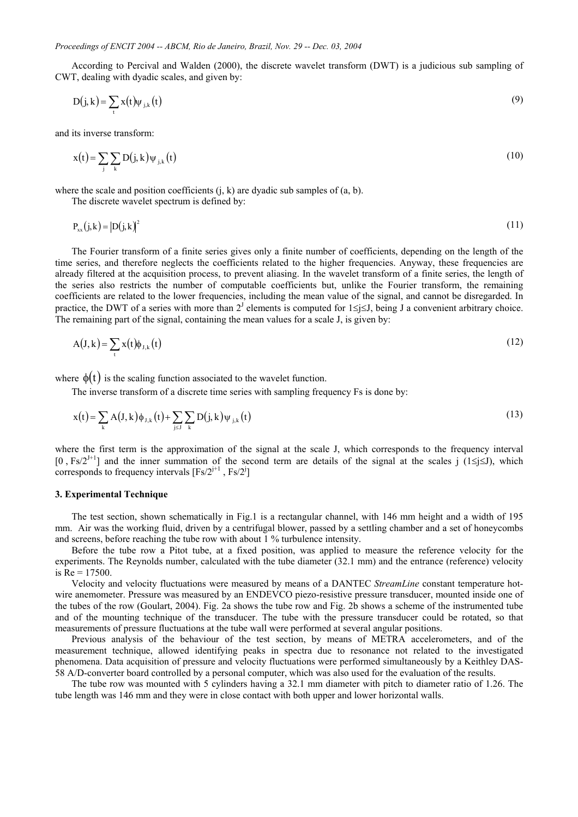According to Percival and Walden (2000), the discrete wavelet transform (DWT) is a judicious sub sampling of CWT, dealing with dyadic scales, and given by:

$$
D(j,k) = \sum_{t} x(t) \psi_{j,k}(t)
$$
\n(9)

and its inverse transform:

$$
x(t) = \sum_{j} \sum_{k} D(j, k) \psi_{j,k}(t)
$$
\n(10)

where the scale and position coefficients  $(i, k)$  are dyadic sub samples of  $(a, b)$ .

The discrete wavelet spectrum is defined by:

$$
P_{xx}(j,k) = |D(j,k)|^2
$$
\n(11)

The Fourier transform of a finite series gives only a finite number of coefficients, depending on the length of the time series, and therefore neglects the coefficients related to the higher frequencies. Anyway, these frequencies are already filtered at the acquisition process, to prevent aliasing. In the wavelet transform of a finite series, the length of the series also restricts the number of computable coefficients but, unlike the Fourier transform, the remaining coefficients are related to the lower frequencies, including the mean value of the signal, and cannot be disregarded. In practice, the DWT of a series with more than  $2^J$  elements is computed for  $1 \le j \le J$ , being J a convenient arbitrary choice. The remaining part of the signal, containing the mean values for a scale J, is given by:

$$
A(J,k) = \sum_{t} x(t) \phi_{J,k}(t) \tag{12}
$$

where  $\phi(t)$  is the scaling function associated to the wavelet function.

The inverse transform of a discrete time series with sampling frequency Fs is done by:

$$
x(t) = \sum_{k} A(J, k) \phi_{J, k}(t) + \sum_{j \le J} \sum_{k} D(j, k) \psi_{j, k}(t)
$$
\n(13)

where the first term is the approximation of the signal at the scale J, which corresponds to the frequency interval  $[0, Fs/2^{1+1}]$  and the inner summation of the second term are details of the signal at the scales j (1≤j≤J), which corresponds to frequency intervals  $[Fs/2^{j+1}, Fs/2^j]$ 

## **3. Experimental Technique**

The test section, shown schematically in Fig.1 is a rectangular channel, with 146 mm height and a width of 195 mm. Air was the working fluid, driven by a centrifugal blower, passed by a settling chamber and a set of honeycombs and screens, before reaching the tube row with about 1 % turbulence intensity.

Before the tube row a Pitot tube, at a fixed position, was applied to measure the reference velocity for the experiments. The Reynolds number, calculated with the tube diameter (32.1 mm) and the entrance (reference) velocity is  $Re = 17500$ .

Velocity and velocity fluctuations were measured by means of a DANTEC *StreamLine* constant temperature hotwire anemometer. Pressure was measured by an ENDEVCO piezo-resistive pressure transducer, mounted inside one of the tubes of the row (Goulart, 2004). Fig. 2a shows the tube row and Fig. 2b shows a scheme of the instrumented tube and of the mounting technique of the transducer. The tube with the pressure transducer could be rotated, so that measurements of pressure fluctuations at the tube wall were performed at several angular positions.

Previous analysis of the behaviour of the test section, by means of METRA accelerometers, and of the measurement technique, allowed identifying peaks in spectra due to resonance not related to the investigated phenomena. Data acquisition of pressure and velocity fluctuations were performed simultaneously by a Keithley DAS-58 A/D-converter board controlled by a personal computer, which was also used for the evaluation of the results.

The tube row was mounted with 5 cylinders having a 32.1 mm diameter with pitch to diameter ratio of 1.26. The tube length was 146 mm and they were in close contact with both upper and lower horizontal walls.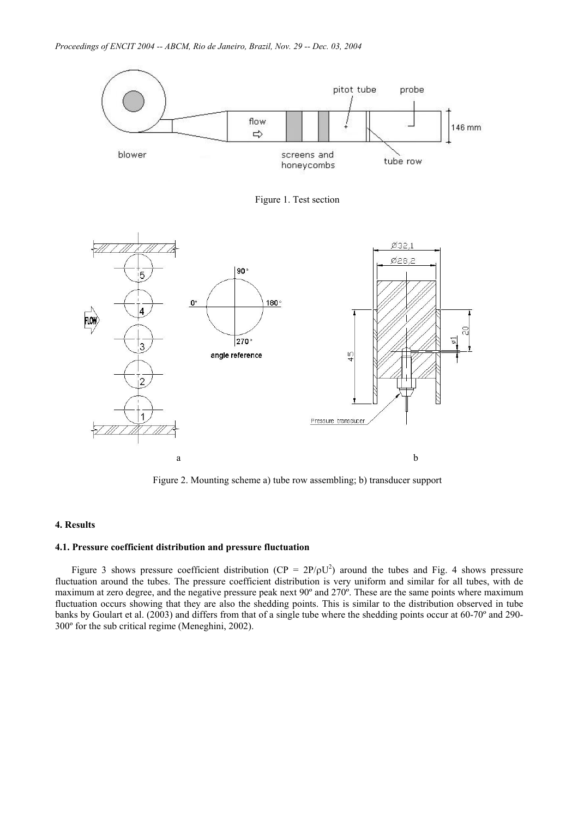

Figure 2. Mounting scheme a) tube row assembling; b) transducer support

# **4. Results**

## **4.1. Pressure coefficient distribution and pressure fluctuation**

Figure 3 shows pressure coefficient distribution ( $CP = 2P/\rho U^2$ ) around the tubes and Fig. 4 shows pressure fluctuation around the tubes. The pressure coefficient distribution is very uniform and similar for all tubes, with de maximum at zero degree, and the negative pressure peak next 90º and 270º. These are the same points where maximum fluctuation occurs showing that they are also the shedding points. This is similar to the distribution observed in tube banks by Goulart et al. (2003) and differs from that of a single tube where the shedding points occur at 60-70º and 290- 300º for the sub critical regime (Meneghini, 2002).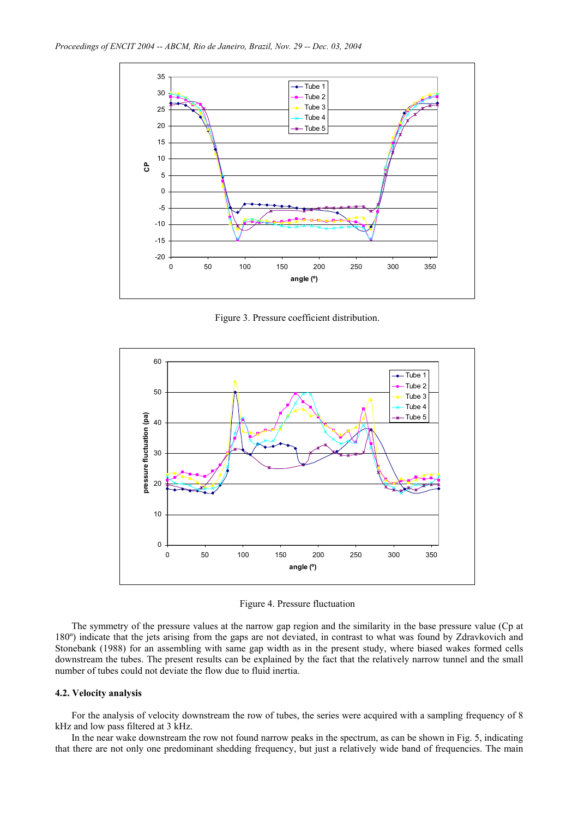

Figure 3. Pressure coefficient distribution.



Figure 4. Pressure fluctuation

The symmetry of the pressure values at the narrow gap region and the similarity in the base pressure value (Cp at 180º) indicate that the jets arising from the gaps are not deviated, in contrast to what was found by Zdravkovich and Stonebank (1988) for an assembling with same gap width as in the present study, where biased wakes formed cells downstream the tubes. The present results can be explained by the fact that the relatively narrow tunnel and the small number of tubes could not deviate the flow due to fluid inertia.

## **4.2. Velocity analysis**

For the analysis of velocity downstream the row of tubes, the series were acquired with a sampling frequency of 8 kHz and low pass filtered at 3 kHz.

In the near wake downstream the row not found narrow peaks in the spectrum, as can be shown in Fig. 5, indicating that there are not only one predominant shedding frequency, but just a relatively wide band of frequencies. The main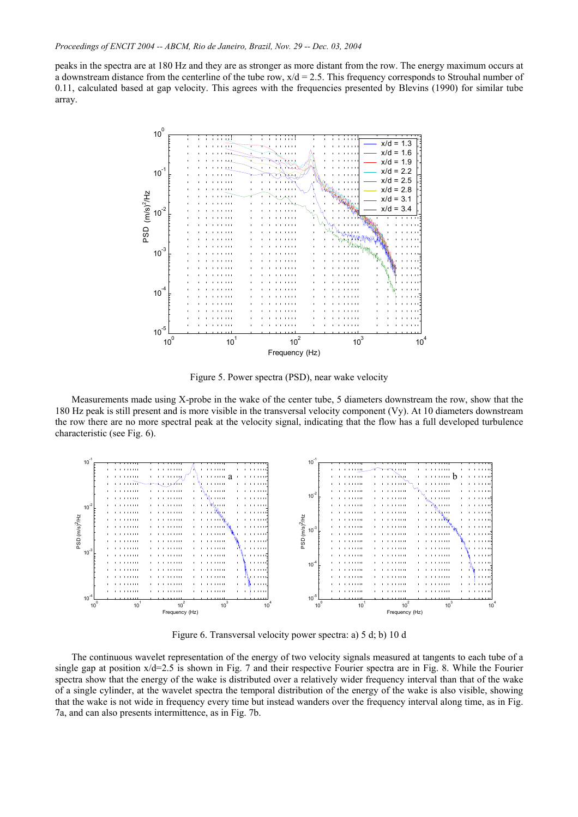peaks in the spectra are at 180 Hz and they are as stronger as more distant from the row. The energy maximum occurs at a downstream distance from the centerline of the tube row,  $x/d = 2.5$ . This frequency corresponds to Strouhal number of 0.11, calculated based at gap velocity. This agrees with the frequencies presented by Blevins (1990) for similar tube array.



Figure 5. Power spectra (PSD), near wake velocity

Measurements made using X-probe in the wake of the center tube, 5 diameters downstream the row, show that the 180 Hz peak is still present and is more visible in the transversal velocity component (Vy). At 10 diameters downstream the row there are no more spectral peak at the velocity signal, indicating that the flow has a full developed turbulence characteristic (see Fig. 6).



Figure 6. Transversal velocity power spectra: a) 5 d; b) 10 d

The continuous wavelet representation of the energy of two velocity signals measured at tangents to each tube of a single gap at position x/d=2.5 is shown in Fig. 7 and their respective Fourier spectra are in Fig. 8. While the Fourier spectra show that the energy of the wake is distributed over a relatively wider frequency interval than that of the wake of a single cylinder, at the wavelet spectra the temporal distribution of the energy of the wake is also visible, showing that the wake is not wide in frequency every time but instead wanders over the frequency interval along time, as in Fig. 7a, and can also presents intermittence, as in Fig. 7b.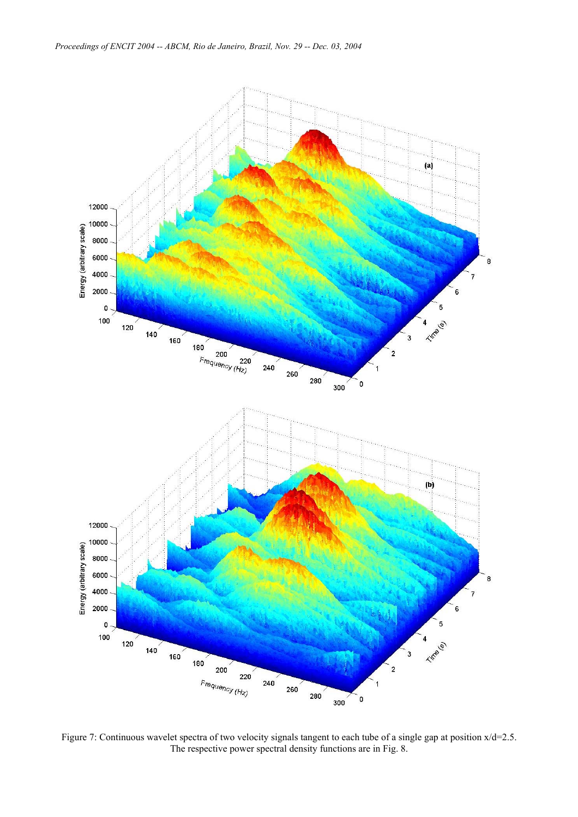

Figure 7: Continuous wavelet spectra of two velocity signals tangent to each tube of a single gap at position  $x/d=2.5$ . The respective power spectral density functions are in Fig. 8.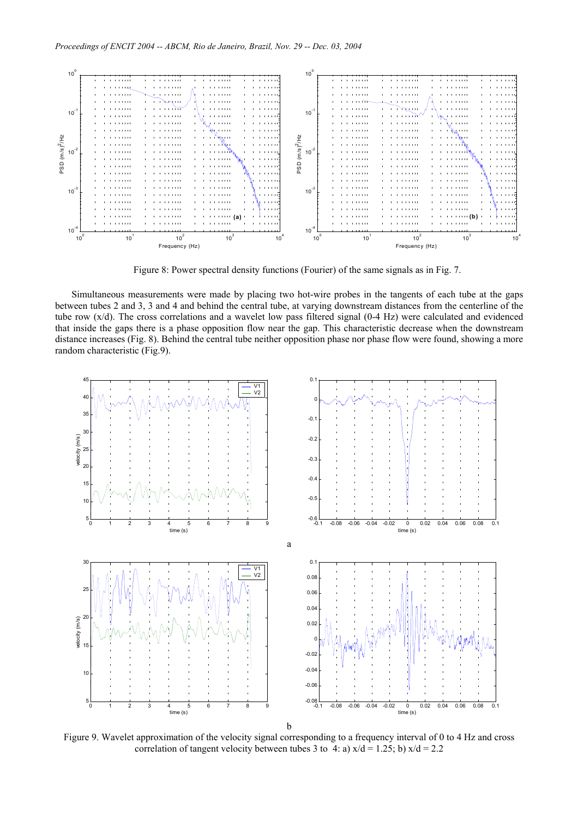

Figure 8: Power spectral density functions (Fourier) of the same signals as in Fig. 7.

Simultaneous measurements were made by placing two hot-wire probes in the tangents of each tube at the gaps between tubes 2 and 3, 3 and 4 and behind the central tube, at varying downstream distances from the centerline of the tube row (x/d). The cross correlations and a wavelet low pass filtered signal (0-4 Hz) were calculated and evidenced that inside the gaps there is a phase opposition flow near the gap. This characteristic decrease when the downstream distance increases (Fig. 8). Behind the central tube neither opposition phase nor phase flow were found, showing a more random characteristic (Fig.9).



Figure 9. Wavelet approximation of the velocity signal corresponding to a frequency interval of 0 to 4 Hz and cross correlation of tangent velocity between tubes 3 to 4: a)  $x/d = 1.25$ ; b)  $x/d = 2.2$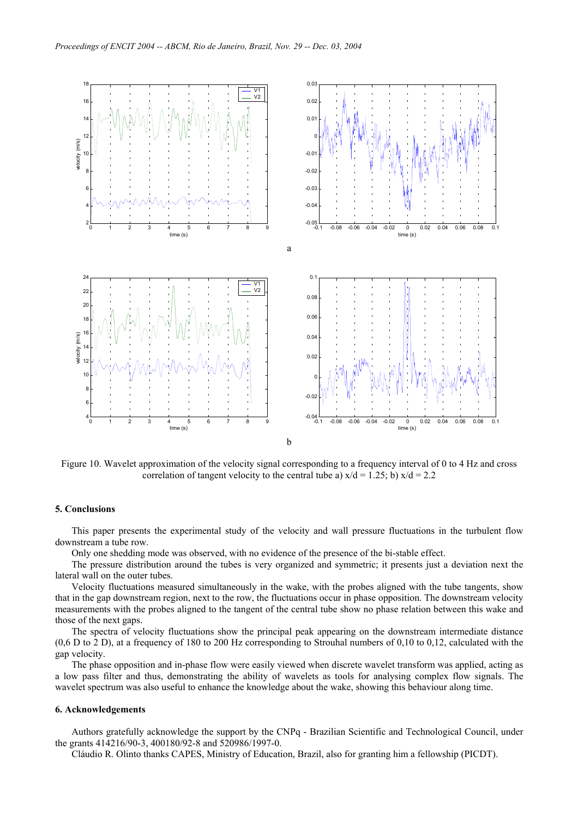

Figure 10. Wavelet approximation of the velocity signal corresponding to a frequency interval of 0 to 4 Hz and cross correlation of tangent velocity to the central tube a)  $x/d = 1.25$ ; b)  $x/d = 2.2$ 

#### **5. Conclusions**

This paper presents the experimental study of the velocity and wall pressure fluctuations in the turbulent flow downstream a tube row.

Only one shedding mode was observed, with no evidence of the presence of the bi-stable effect.

The pressure distribution around the tubes is very organized and symmetric; it presents just a deviation next the lateral wall on the outer tubes.

Velocity fluctuations measured simultaneously in the wake, with the probes aligned with the tube tangents, show that in the gap downstream region, next to the row, the fluctuations occur in phase opposition. The downstream velocity measurements with the probes aligned to the tangent of the central tube show no phase relation between this wake and those of the next gaps.

The spectra of velocity fluctuations show the principal peak appearing on the downstream intermediate distance  $(0.6 \text{ D to } 2 \text{ D})$ , at a frequency of 180 to 200 Hz corresponding to Strouhal numbers of 0,10 to 0,12, calculated with the gap velocity.

The phase opposition and in-phase flow were easily viewed when discrete wavelet transform was applied, acting as a low pass filter and thus, demonstrating the ability of wavelets as tools for analysing complex flow signals. The wavelet spectrum was also useful to enhance the knowledge about the wake, showing this behaviour along time.

#### **6. Acknowledgements**

Authors gratefully acknowledge the support by the CNPq - Brazilian Scientific and Technological Council, under the grants 414216/90-3, 400180/92-8 and 520986/1997-0.

Cláudio R. Olinto thanks CAPES, Ministry of Education, Brazil, also for granting him a fellowship (PICDT).